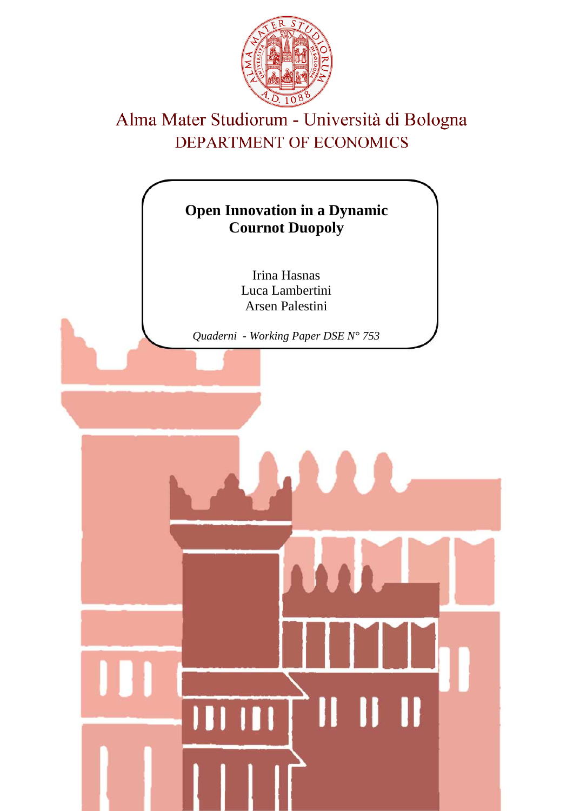

# Alma Mater Studiorum - Università di Bologna DEPARTMENT OF ECONOMICS

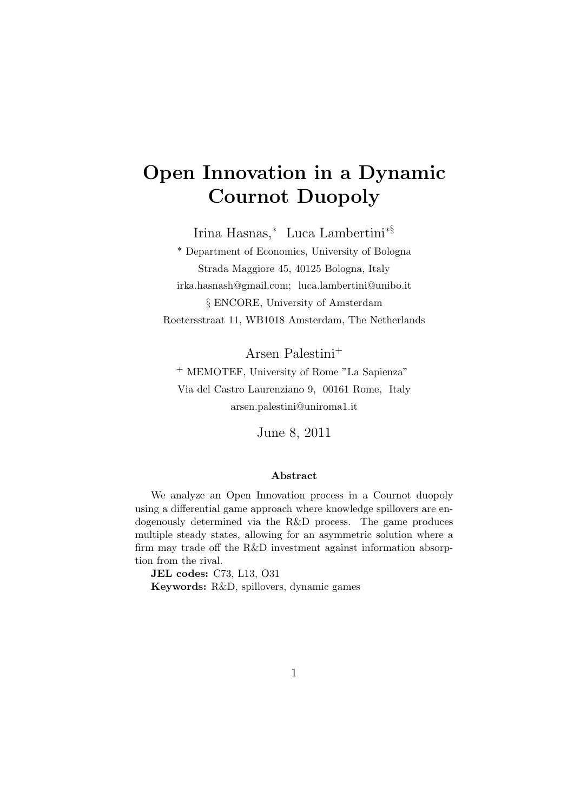# **Open Innovation in a Dynamic Cournot Duopoly**

Irina Hasnas,*<sup>∗</sup>* Luca Lambertini*∗§*

\* Department of Economics, University of Bologna Strada Maggiore 45, 40125 Bologna, Italy irka.hasnash@gmail.com; luca.lambertini@unibo.it *§* ENCORE, University of Amsterdam Roetersstraat 11, WB1018 Amsterdam, The Netherlands

Arsen Palestini<sup>+</sup>

<sup>+</sup> MEMOTEF, University of Rome "La Sapienza" Via del Castro Laurenziano 9, 00161 Rome, Italy arsen.palestini@uniroma1.it

June 8, 2011

#### **Abstract**

We analyze an Open Innovation process in a Cournot duopoly using a differential game approach where knowledge spillovers are endogenously determined via the R&D process. The game produces multiple steady states, allowing for an asymmetric solution where a firm may trade off the R&D investment against information absorption from the rival.

**JEL codes:** C73, L13, O31 **Keywords:** R&D, spillovers, dynamic games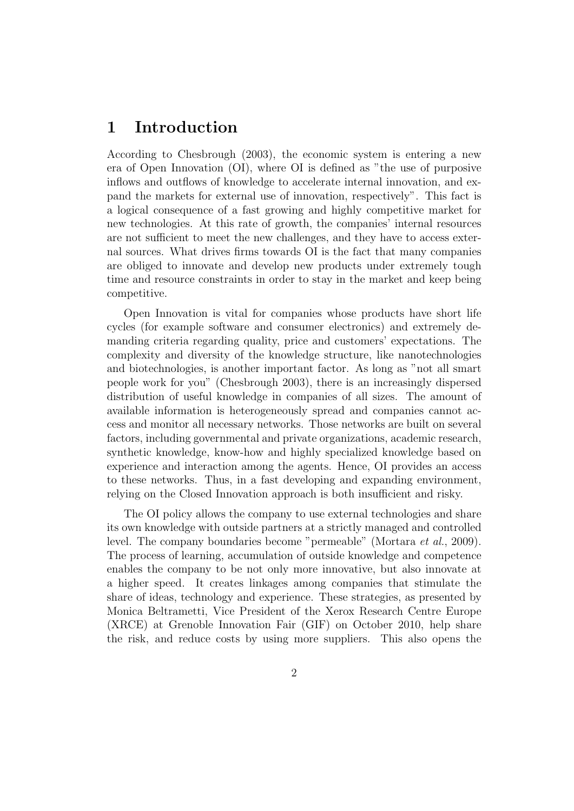## **1 Introduction**

According to Chesbrough (2003), the economic system is entering a new era of Open Innovation (OI), where OI is defined as "the use of purposive inflows and outflows of knowledge to accelerate internal innovation, and expand the markets for external use of innovation, respectively". This fact is a logical consequence of a fast growing and highly competitive market for new technologies. At this rate of growth, the companies' internal resources are not sufficient to meet the new challenges, and they have to access external sources. What drives firms towards OI is the fact that many companies are obliged to innovate and develop new products under extremely tough time and resource constraints in order to stay in the market and keep being competitive.

Open Innovation is vital for companies whose products have short life cycles (for example software and consumer electronics) and extremely demanding criteria regarding quality, price and customers' expectations. The complexity and diversity of the knowledge structure, like nanotechnologies and biotechnologies, is another important factor. As long as "not all smart people work for you" (Chesbrough 2003), there is an increasingly dispersed distribution of useful knowledge in companies of all sizes. The amount of available information is heterogeneously spread and companies cannot access and monitor all necessary networks. Those networks are built on several factors, including governmental and private organizations, academic research, synthetic knowledge, know-how and highly specialized knowledge based on experience and interaction among the agents. Hence, OI provides an access to these networks. Thus, in a fast developing and expanding environment, relying on the Closed Innovation approach is both insufficient and risky.

The OI policy allows the company to use external technologies and share its own knowledge with outside partners at a strictly managed and controlled level. The company boundaries become "permeable" (Mortara *et al.*, 2009). The process of learning, accumulation of outside knowledge and competence enables the company to be not only more innovative, but also innovate at a higher speed. It creates linkages among companies that stimulate the share of ideas, technology and experience. These strategies, as presented by Monica Beltrametti, Vice President of the Xerox Research Centre Europe (XRCE) at Grenoble Innovation Fair (GIF) on October 2010, help share the risk, and reduce costs by using more suppliers. This also opens the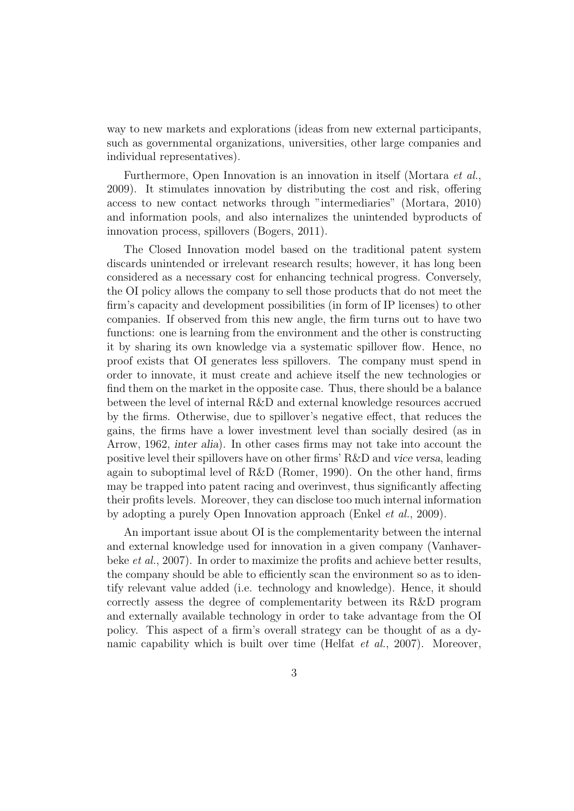way to new markets and explorations (ideas from new external participants, such as governmental organizations, universities, other large companies and individual representatives).

Furthermore, Open Innovation is an innovation in itself (Mortara *et al.*, 2009). It stimulates innovation by distributing the cost and risk, offering access to new contact networks through "intermediaries" (Mortara, 2010) and information pools, and also internalizes the unintended byproducts of innovation process, spillovers (Bogers, 2011).

The Closed Innovation model based on the traditional patent system discards unintended or irrelevant research results; however, it has long been considered as a necessary cost for enhancing technical progress. Conversely, the OI policy allows the company to sell those products that do not meet the firm's capacity and development possibilities (in form of IP licenses) to other companies. If observed from this new angle, the firm turns out to have two functions: one is learning from the environment and the other is constructing it by sharing its own knowledge via a systematic spillover flow. Hence, no proof exists that OI generates less spillovers. The company must spend in order to innovate, it must create and achieve itself the new technologies or find them on the market in the opposite case. Thus, there should be a balance between the level of internal R&D and external knowledge resources accrued by the firms. Otherwise, due to spillover's negative effect, that reduces the gains, the firms have a lower investment level than socially desired (as in Arrow, 1962, *inter alia*). In other cases firms may not take into account the positive level their spillovers have on other firms' R&D and *vice versa*, leading again to suboptimal level of R&D (Romer, 1990). On the other hand, firms may be trapped into patent racing and overinvest, thus significantly affecting their profits levels. Moreover, they can disclose too much internal information by adopting a purely Open Innovation approach (Enkel *et al.*, 2009).

An important issue about OI is the complementarity between the internal and external knowledge used for innovation in a given company (Vanhaverbeke *et al.*, 2007). In order to maximize the profits and achieve better results, the company should be able to efficiently scan the environment so as to identify relevant value added (i.e. technology and knowledge). Hence, it should correctly assess the degree of complementarity between its R&D program and externally available technology in order to take advantage from the OI policy. This aspect of a firm's overall strategy can be thought of as a dynamic capability which is built over time (Helfat *et al.*, 2007). Moreover,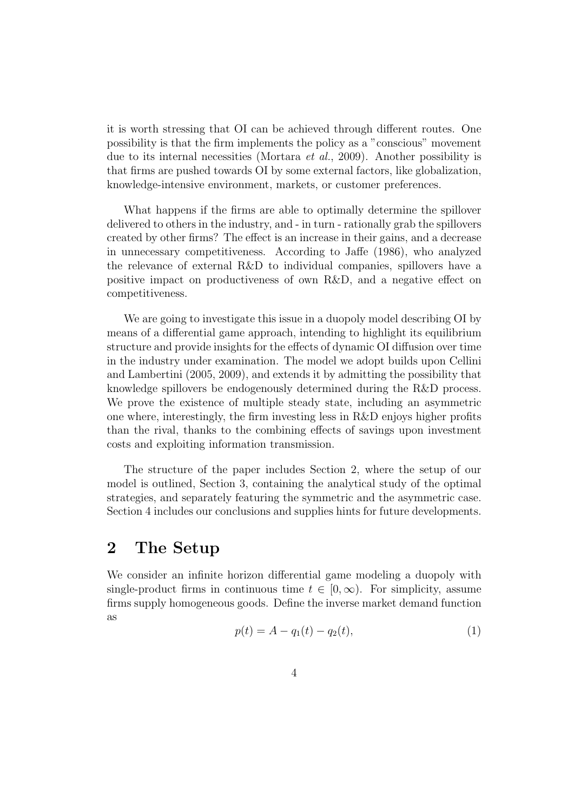it is worth stressing that OI can be achieved through different routes. One possibility is that the firm implements the policy as a "conscious" movement due to its internal necessities (Mortara *et al.*, 2009). Another possibility is that firms are pushed towards OI by some external factors, like globalization, knowledge-intensive environment, markets, or customer preferences.

What happens if the firms are able to optimally determine the spillover delivered to others in the industry, and - in turn - rationally grab the spillovers created by other firms? The effect is an increase in their gains, and a decrease in unnecessary competitiveness. According to Jaffe (1986), who analyzed the relevance of external R&D to individual companies, spillovers have a positive impact on productiveness of own R&D, and a negative effect on competitiveness.

We are going to investigate this issue in a duopoly model describing OI by means of a differential game approach, intending to highlight its equilibrium structure and provide insights for the effects of dynamic OI diffusion over time in the industry under examination. The model we adopt builds upon Cellini and Lambertini (2005, 2009), and extends it by admitting the possibility that knowledge spillovers be endogenously determined during the R&D process. We prove the existence of multiple steady state, including an asymmetric one where, interestingly, the firm investing less in R&D enjoys higher profits than the rival, thanks to the combining effects of savings upon investment costs and exploiting information transmission.

The structure of the paper includes Section 2, where the setup of our model is outlined, Section 3, containing the analytical study of the optimal strategies, and separately featuring the symmetric and the asymmetric case. Section 4 includes our conclusions and supplies hints for future developments.

## **2 The Setup**

We consider an infinite horizon differential game modeling a duopoly with single-product firms in continuous time  $t \in [0, \infty)$ . For simplicity, assume firms supply homogeneous goods. Define the inverse market demand function as

$$
p(t) = A - q_1(t) - q_2(t),
$$
\n(1)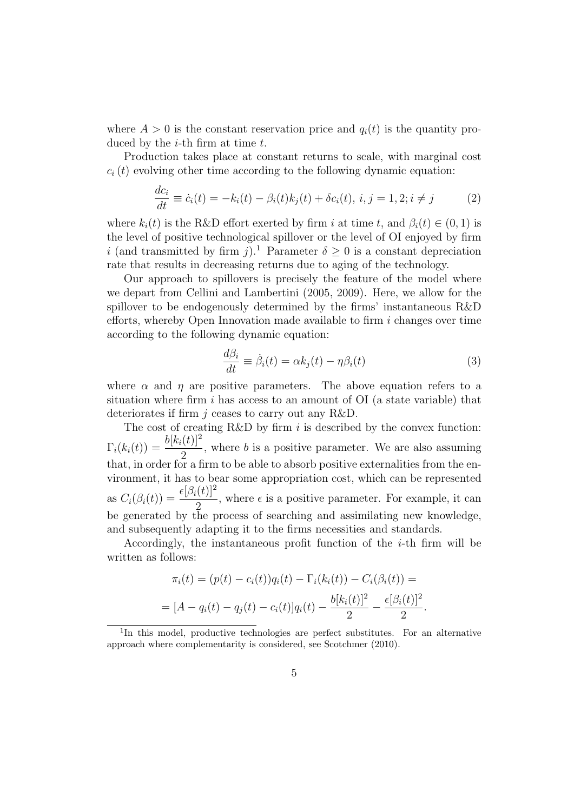where  $A > 0$  is the constant reservation price and  $q_i(t)$  is the quantity produced by the *i*-th firm at time *t*.

Production takes place at constant returns to scale, with marginal cost  $c_i(t)$  evolving other time according to the following dynamic equation:

$$
\frac{dc_i}{dt} \equiv \dot{c}_i(t) = -k_i(t) - \beta_i(t)k_j(t) + \delta c_i(t), \ i, j = 1, 2; i \neq j \tag{2}
$$

where  $k_i(t)$  is the R&D effort exerted by firm *i* at time *t*, and  $\beta_i(t) \in (0,1)$  is the level of positive technological spillover or the level of OI enjoyed by firm *i* (and transmitted by firm *j*).<sup>1</sup> Parameter  $\delta > 0$  is a constant depreciation rate that results in decreasing returns due to aging of the technology.

Our approach to spillovers is precisely the feature of the model where we depart from Cellini and Lambertini (2005, 2009). Here, we allow for the spillover to be endogenously determined by the firms' instantaneous R&D efforts, whereby Open Innovation made available to firm *i* changes over time according to the following dynamic equation:

$$
\frac{d\beta_i}{dt} \equiv \dot{\beta}_i(t) = \alpha k_j(t) - \eta \beta_i(t)
$$
\n(3)

where  $\alpha$  and  $\eta$  are positive parameters. The above equation refers to a situation where firm *i* has access to an amount of OI (a state variable) that deteriorates if firm *j* ceases to carry out any R&D.

The cost of creating R&D by firm *i* is described by the convex function:  $\Gamma_i(k_i(t)) = \frac{b[k_i(t)]^2}{2}$ , where *b* is a positive parameter. We are also assuming that, in order for a firm to be able to absorb positive externalities from the environment, it has to bear some appropriation cost, which can be represented as  $C_i(\beta_i(t)) = \frac{\epsilon[\beta_i(t)]^2}{2}$ *,* where  $\epsilon$  is a positive parameter. For example, it can be generated by the process of searching and assimilating new knowledge, and subsequently adapting it to the firms necessities and standards.

Accordingly, the instantaneous profit function of the *i*-th firm will be written as follows:

$$
\pi_i(t) = (p(t) - c_i(t))q_i(t) - \Gamma_i(k_i(t)) - C_i(\beta_i(t)) =
$$
  
= 
$$
[A - q_i(t) - q_j(t) - c_i(t)]q_i(t) - \frac{b[k_i(t)]^2}{2} - \frac{\epsilon[\beta_i(t)]^2}{2}.
$$

<sup>&</sup>lt;sup>1</sup>In this model, productive technologies are perfect substitutes. For an alternative approach where complementarity is considered, see Scotchmer (2010).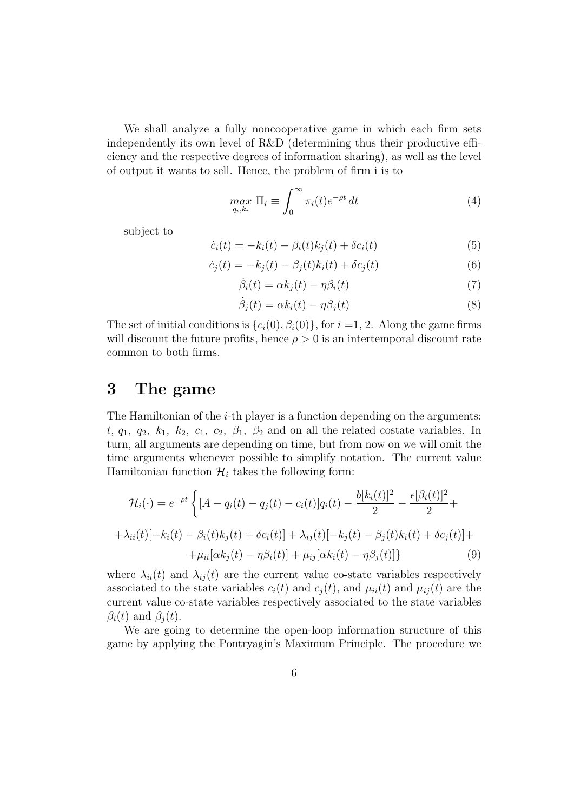We shall analyze a fully noncooperative game in which each firm sets independently its own level of R&D (determining thus their productive efficiency and the respective degrees of information sharing), as well as the level of output it wants to sell. Hence, the problem of firm i is to

$$
\max_{q_i, k_i} \Pi_i \equiv \int_0^\infty \pi_i(t) e^{-\rho t} dt \tag{4}
$$

subject to

$$
\dot{c}_i(t) = -k_i(t) - \beta_i(t)k_j(t) + \delta c_i(t)
$$
\n
$$
(5)
$$

$$
\dot{c}_j(t) = -k_j(t) - \beta_j(t)k_i(t) + \delta c_j(t)
$$
\n
$$
(6)
$$

$$
\dot{\beta}_i(t) = \alpha k_j(t) - \eta \beta_i(t) \tag{7}
$$

$$
\dot{\beta}_j(t) = \alpha k_i(t) - \eta \beta_j(t) \tag{8}
$$

The set of initial conditions is  $\{c_i(0), \beta_i(0)\}\)$ , for  $i = 1, 2$ . Along the game firms will discount the future profits, hence  $\rho > 0$  is an intertemporal discount rate common to both firms.

## **3 The game**

The Hamiltonian of the *i*-th player is a function depending on the arguments:  $t, q_1, q_2, k_1, k_2, c_1, c_2, \beta_1, \beta_2$  and on all the related costate variables. In turn, all arguments are depending on time, but from now on we will omit the time arguments whenever possible to simplify notation. The current value Hamiltonian function  $\mathcal{H}_i$  takes the following form:

$$
\mathcal{H}_{i}(\cdot) = e^{-\rho t} \left\{ [A - q_{i}(t) - q_{j}(t) - c_{i}(t)] q_{i}(t) - \frac{b[k_{i}(t)]^{2}}{2} - \frac{\epsilon[\beta_{i}(t)]^{2}}{2} + \right.
$$

$$
+ \lambda_{ii}(t) [-k_{i}(t) - \beta_{i}(t)k_{j}(t) + \delta c_{i}(t)] + \lambda_{ij}(t) [-k_{j}(t) - \beta_{j}(t)k_{i}(t) + \delta c_{j}(t)] + \right.
$$

$$
+ \mu_{ii} [\alpha k_{j}(t) - \eta \beta_{i}(t)] + \mu_{ij} [\alpha k_{i}(t) - \eta \beta_{j}(t)] \}
$$
(9)

where  $\lambda_{ii}(t)$  and  $\lambda_{ij}(t)$  are the current value co-state variables respectively associated to the state variables  $c_i(t)$  and  $c_j(t)$ , and  $\mu_{ii}(t)$  and  $\mu_{ij}(t)$  are the current value co-state variables respectively associated to the state variables *β*<sub>*i*</sub>(*t*) and *β*<sub>*j*</sub>(*t*).

We are going to determine the open-loop information structure of this game by applying the Pontryagin's Maximum Principle. The procedure we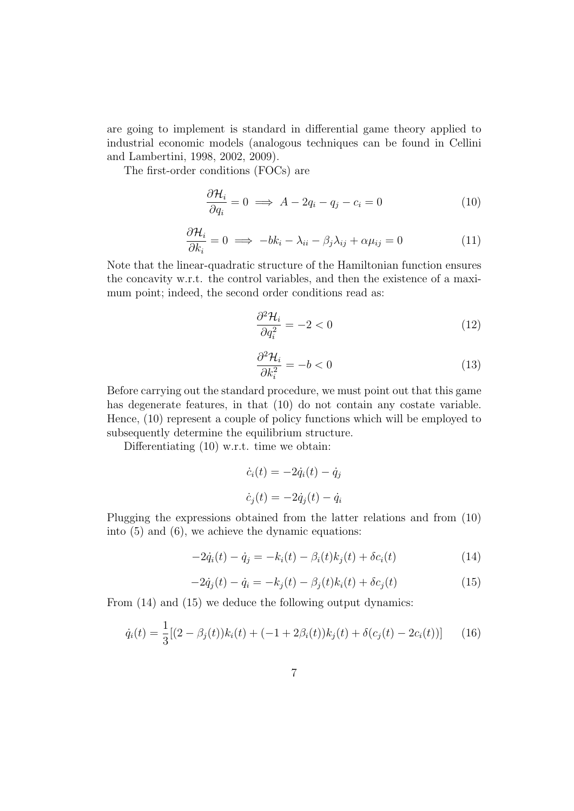are going to implement is standard in differential game theory applied to industrial economic models (analogous techniques can be found in Cellini and Lambertini, 1998, 2002, 2009).

The first-order conditions (FOCs) are

$$
\frac{\partial \mathcal{H}_i}{\partial q_i} = 0 \implies A - 2q_i - q_j - c_i = 0 \tag{10}
$$

$$
\frac{\partial \mathcal{H}_i}{\partial k_i} = 0 \implies -bk_i - \lambda_{ii} - \beta_j \lambda_{ij} + \alpha \mu_{ij} = 0 \tag{11}
$$

Note that the linear-quadratic structure of the Hamiltonian function ensures the concavity w.r.t. the control variables, and then the existence of a maximum point; indeed, the second order conditions read as:

$$
\frac{\partial^2 \mathcal{H}_i}{\partial q_i^2} = -2 < 0 \tag{12}
$$

$$
\frac{\partial^2 \mathcal{H}_i}{\partial k_i^2} = -b < 0\tag{13}
$$

Before carrying out the standard procedure, we must point out that this game has degenerate features, in that (10) do not contain any costate variable. Hence, (10) represent a couple of policy functions which will be employed to subsequently determine the equilibrium structure.

Differentiating (10) w.r.t. time we obtain:

$$
\dot{c}_i(t) = -2\dot{q}_i(t) - \dot{q}_j
$$

$$
\dot{c}_j(t) = -2\dot{q}_j(t) - \dot{q}_i
$$

Plugging the expressions obtained from the latter relations and from (10) into (5) and (6), we achieve the dynamic equations:

$$
-2\dot{q}_i(t) - \dot{q}_j = -k_i(t) - \beta_i(t)k_j(t) + \delta c_i(t)
$$
\n(14)

$$
-2\dot{q}_j(t) - \dot{q}_i = -k_j(t) - \beta_j(t)k_i(t) + \delta c_j(t)
$$
\n(15)

From  $(14)$  and  $(15)$  we deduce the following output dynamics:

$$
\dot{q}_i(t) = \frac{1}{3} [(2 - \beta_j(t))k_i(t) + (-1 + 2\beta_i(t))k_j(t) + \delta(c_j(t) - 2c_i(t))]
$$
(16)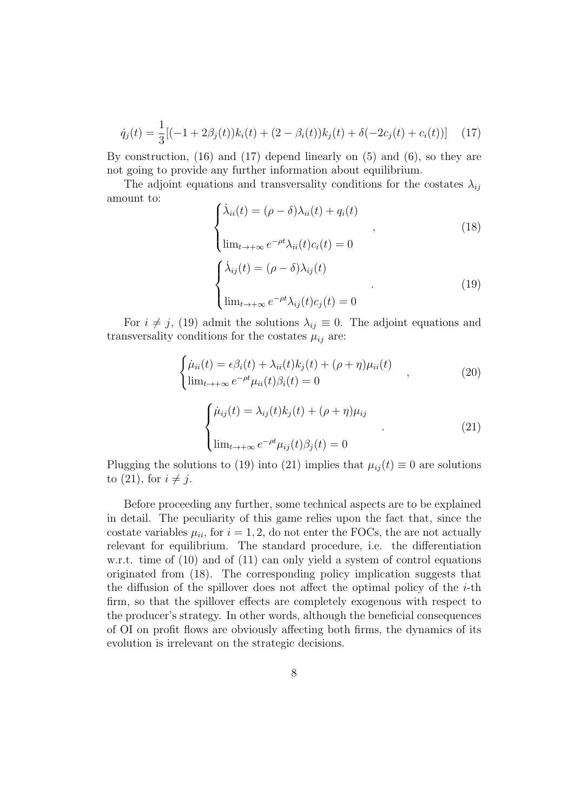$$
\dot{q}_j(t) = \frac{1}{3} [(-1 + 2\beta_j(t))k_i(t) + (2 - \beta_i(t))k_j(t) + \delta(-2c_j(t) + c_i(t))]
$$
(17)

By construction, (16) and (17) depend linearly on (5) and (6), so they are not going to provide any further information about equilibrium.

The adjoint equations and transversality conditions for the costates  $\lambda_{ij}$ amount to:

$$
\begin{cases}\n\dot{\lambda}_{ii}(t) = (\rho - \delta)\lambda_{ii}(t) + q_i(t) \\
\lim_{t \to +\infty} e^{-\rho t} \lambda_{ii}(t) c_i(t) = 0\n\end{cases}
$$
\n(18)\n
$$
\begin{cases}\n\dot{\lambda}_{ij}(t) = (\rho - \delta)\lambda_{ij}(t) \\
\lim_{t \to +\infty} e^{-\rho t} \lambda_{ij}(t) c_j(t) = 0\n\end{cases}
$$
\n(19)

For  $i \neq j$ , (19) admit the solutions  $\lambda_{ij} \equiv 0$ . The adjoint equations and transversality conditions for the costates  $\mu_{ij}$  are:

$$
\begin{cases}\n\dot{\mu}_{ii}(t) = \epsilon \beta_i(t) + \lambda_{ii}(t)k_j(t) + (\rho + \eta)\mu_{ii}(t) \\
\lim_{t \to +\infty} e^{-\rho t} \mu_{ii}(t) \beta_i(t) = 0\n\end{cases}
$$
\n(20)

$$
\begin{cases}\n\dot{\mu}_{ij}(t) = \lambda_{ij}(t)k_j(t) + (\rho + \eta)\mu_{ij} \\
\lim_{t \to +\infty} e^{-\rho t}\mu_{ij}(t)\beta_j(t) = 0\n\end{cases}
$$
\n(21)

Plugging the solutions to (19) into (21) implies that  $\mu_{ij}(t) \equiv 0$  are solutions to  $(21)$ , for  $i \neq j$ .

Before proceeding any further, some technical aspects are to be explained in detail. The peculiarity of this game relies upon the fact that, since the costate variables  $\mu_{ii}$ , for  $i = 1, 2$ , do not enter the FOCs, the are not actually relevant for equilibrium. The standard procedure, i.e. the differentiation w.r.t. time of (10) and of (11) can only yield a system of control equations originated from (18). The corresponding policy implication suggests that the diffusion of the spillover does not affect the optimal policy of the *i*-th firm, so that the spillover effects are completely exogenous with respect to the producer's strategy. In other words, although the beneficial consequences of OI on profit flows are obviously affecting both firms, the dynamics of its evolution is irrelevant on the strategic decisions.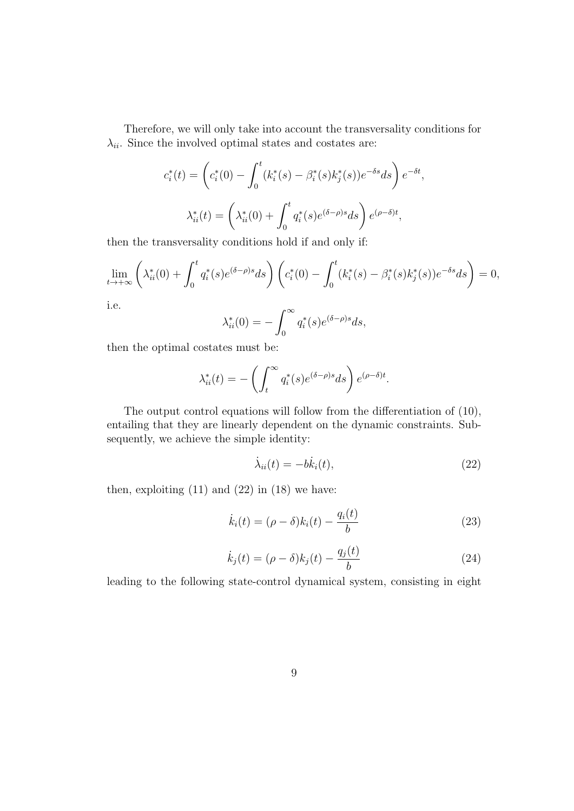Therefore, we will only take into account the transversality conditions for  $\lambda_{ii}$ . Since the involved optimal states and costates are:

$$
c_i^*(t) = \left(c_i^*(0) - \int_0^t (k_i^*(s) - \beta_i^*(s)k_j^*(s))e^{-\delta s}ds\right)e^{-\delta t},
$$

$$
\lambda_{ii}^*(t) = \left(\lambda_{ii}^*(0) + \int_0^t q_i^*(s)e^{(\delta - \rho)s}ds\right)e^{(\rho - \delta)t},
$$

then the transversality conditions hold if and only if:

$$
\lim_{t \to +\infty} \left( \lambda_{ii}^*(0) + \int_0^t q_i^*(s) e^{(\delta - \rho)s} ds \right) \left( c_i^*(0) - \int_0^t (k_i^*(s) - \beta_i^*(s) k_j^*(s)) e^{-\delta s} ds \right) = 0,
$$

i.e.

$$
\lambda_{ii}^*(0) = -\int_0^\infty q_i^*(s)e^{(\delta-\rho)s}ds,
$$

then the optimal costates must be:

$$
\lambda_{ii}^*(t) = -\left(\int_t^\infty q_i^*(s)e^{(\delta-\rho)s}ds\right)e^{(\rho-\delta)t}.
$$

The output control equations will follow from the differentiation of (10), entailing that they are linearly dependent on the dynamic constraints. Subsequently, we achieve the simple identity:

$$
\dot{\lambda}_{ii}(t) = -b\dot{k}_i(t),\tag{22}
$$

then, exploiting  $(11)$  and  $(22)$  in  $(18)$  we have:

$$
\dot{k}_i(t) = (\rho - \delta)k_i(t) - \frac{q_i(t)}{b}
$$
\n(23)

$$
\dot{k}_j(t) = (\rho - \delta)k_j(t) - \frac{q_j(t)}{b}
$$
\n(24)

leading to the following state-control dynamical system, consisting in eight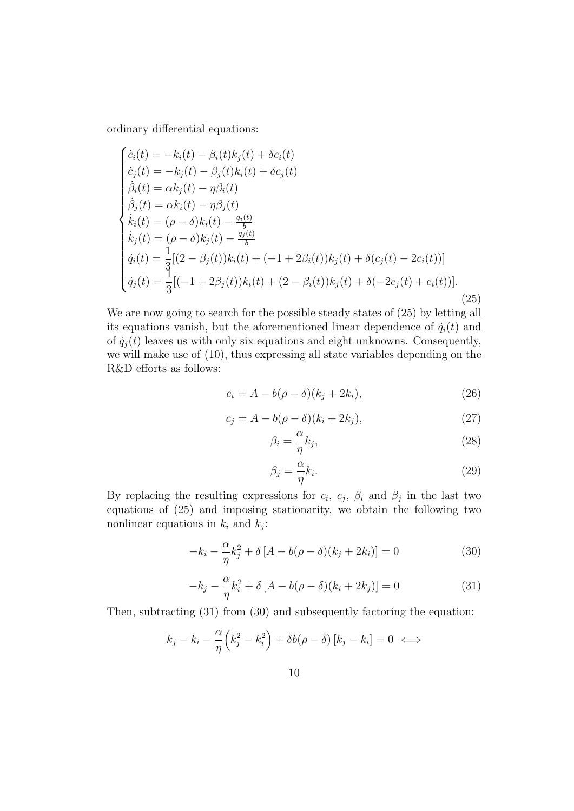ordinary differential equations:

$$
\begin{cases}\n\dot{c}_i(t) = -k_i(t) - \beta_i(t)k_j(t) + \delta c_i(t) \\
\dot{c}_j(t) = -k_j(t) - \beta_j(t)k_i(t) + \delta c_j(t) \\
\dot{\beta}_i(t) = \alpha k_j(t) - \eta \beta_i(t) \\
\dot{\beta}_j(t) = \alpha k_i(t) - \eta \beta_j(t) \\
\dot{k}_i(t) = (\rho - \delta)k_i(t) - \frac{q_i(t)}{b} \\
\dot{k}_j(t) = (\rho - \delta)k_j(t) - \frac{q_j(t)}{b} \\
\dot{q}_i(t) = \frac{1}{3}[(2 - \beta_j(t))k_i(t) + (-1 + 2\beta_i(t))k_j(t) + \delta(c_j(t) - 2c_i(t))] \\
\dot{q}_j(t) = \frac{1}{3}[(-1 + 2\beta_j(t))k_i(t) + (2 - \beta_i(t))k_j(t) + \delta(-2c_j(t) + c_i(t))].\n\end{cases} (25)
$$

We are now going to search for the possible steady states of (25) by letting all its equations vanish, but the aforementioned linear dependence of  $\dot{q}_i(t)$  and of  $\dot{q}_i(t)$  leaves us with only six equations and eight unknowns. Consequently, we will make use of (10), thus expressing all state variables depending on the R&D efforts as follows:

$$
c_i = A - b(\rho - \delta)(k_j + 2k_i),\tag{26}
$$

$$
c_j = A - b(\rho - \delta)(k_i + 2k_j),\tag{27}
$$

$$
\beta_i = -\frac{\alpha}{\eta} k_j,\tag{28}
$$

$$
\beta_j = -\frac{\alpha}{\eta} k_i. \tag{29}
$$

By replacing the resulting expressions for  $c_i$ ,  $c_j$ ,  $\beta_i$  and  $\beta_j$  in the last two equations of (25) and imposing stationarity, we obtain the following two nonlinear equations in  $k_i$  and  $k_j$ :

$$
-k_i - \frac{\alpha}{\eta}k_j^2 + \delta[A - b(\rho - \delta)(k_j + 2k_i)] = 0
$$
\n(30)

$$
-k_j - \frac{\alpha}{\eta}k_i^2 + \delta[A - b(\rho - \delta)(k_i + 2k_j)] = 0
$$
\n(31)

Then, subtracting (31) from (30) and subsequently factoring the equation:

$$
k_j - k_i - \frac{\alpha}{\eta} \left( k_j^2 - k_i^2 \right) + \delta b(\rho - \delta) [k_j - k_i] = 0 \iff
$$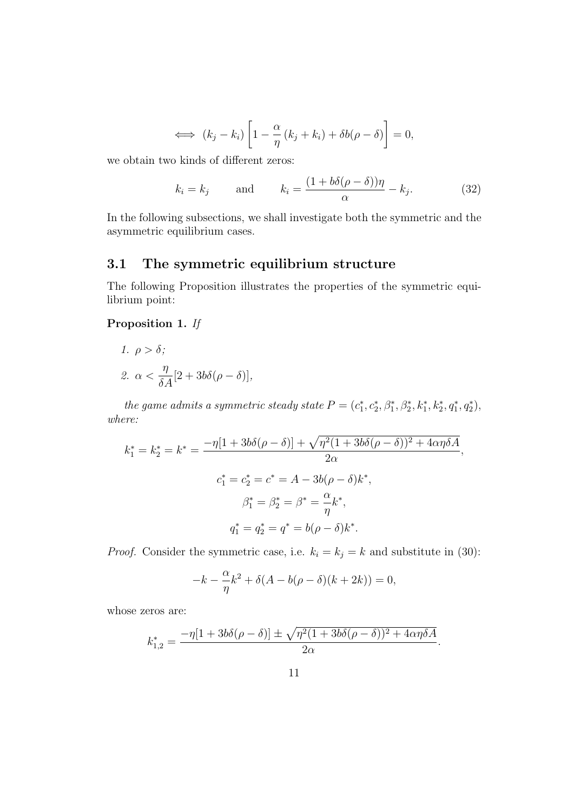$$
\iff (k_j - k_i) \left[ 1 - \frac{\alpha}{\eta} (k_j + k_i) + \delta b(\rho - \delta) \right] = 0,
$$

we obtain two kinds of different zeros:

$$
k_i = k_j
$$
 and  $k_i = \frac{(1 + b\delta(\rho - \delta))\eta}{\alpha} - k_j.$  (32)

In the following subsections, we shall investigate both the symmetric and the asymmetric equilibrium cases.

## **3.1 The symmetric equilibrium structure**

The following Proposition illustrates the properties of the symmetric equilibrium point:

### **Proposition 1.** *If*

1. 
$$
\rho > \delta
$$
;  
2.  $\alpha < \frac{\eta}{\delta A} [2 + 3b\delta(\rho - \delta)],$ 

the game admits a symmetric steady state  $P = (c_1^*, c_2^*, \beta_1^*, \beta_2^*, k_1^*, k_2^*, q_1^*, q_2^*),$ *where:*

$$
k_1^* = k_2^* = k^* = \frac{-\eta[1 + 3b\delta(\rho - \delta)] + \sqrt{\eta^2(1 + 3b\delta(\rho - \delta))^2 + 4\alpha\eta\delta A}}{2\alpha},
$$
  

$$
c_1^* = c_2^* = c^* = A - 3b(\rho - \delta)k^*,
$$
  

$$
\beta_1^* = \beta_2^* = \beta^* = \frac{\alpha}{\eta}k^*,
$$
  

$$
q_1^* = q_2^* = q^* = b(\rho - \delta)k^*.
$$

*Proof.* Consider the symmetric case, i.e.  $k_i = k_j = k$  and substitute in (30):

$$
-k - \frac{\alpha}{\eta}k^2 + \delta(A - b(\rho - \delta)(k + 2k)) = 0,
$$

whose zeros are:

$$
k_{1,2}^* = \frac{-\eta[1+3b\delta(\rho-\delta)]\pm\sqrt{\eta^2(1+3b\delta(\rho-\delta))^2+4\alpha\eta\delta A}}{2\alpha}.
$$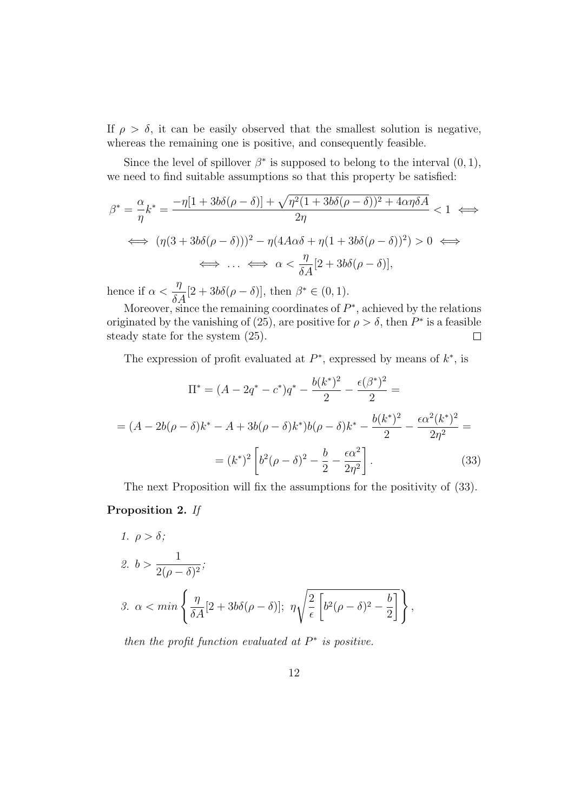If  $\rho > \delta$ , it can be easily observed that the smallest solution is negative, whereas the remaining one is positive, and consequently feasible.

Since the level of spillover  $\beta^*$  is supposed to belong to the interval  $(0,1)$ , we need to find suitable assumptions so that this property be satisfied:

$$
\beta^* = \frac{\alpha}{\eta} k^* = \frac{-\eta[1 + 3b\delta(\rho - \delta)] + \sqrt{\eta^2(1 + 3b\delta(\rho - \delta))^2 + 4\alpha\eta\delta A}}{2\eta} < 1 \iff
$$
  

$$
\iff (\eta(3 + 3b\delta(\rho - \delta)))^2 - \eta(4A\alpha\delta + \eta(1 + 3b\delta(\rho - \delta))^2) > 0 \iff
$$
  

$$
\iff \dots \iff \alpha < \frac{\eta}{\delta A} [2 + 3b\delta(\rho - \delta)],
$$

hence if *α < η*  $\frac{\partial}{\partial A}[2+3b\delta(\rho-\delta)],$  then  $\beta^* \in (0,1)$ .

Moreover, since the remaining coordinates of  $P^*$ , achieved by the relations originated by the vanishing of (25), are positive for  $\rho > \delta$ , then  $P^*$  is a feasible steady state for the system (25).  $\Box$ 

The expression of profit evaluated at *P ∗* , expressed by means of *k ∗* , is

$$
\Pi^* = (A - 2q^* - c^*)q^* - \frac{b(k^*)^2}{2} - \frac{\epsilon(\beta^*)^2}{2} =
$$
  
=  $(A - 2b(\rho - \delta)k^* - A + 3b(\rho - \delta)k^*)b(\rho - \delta)k^* - \frac{b(k^*)^2}{2} - \frac{\epsilon\alpha^2(k^*)^2}{2\eta^2} =$   
=  $(k^*)^2 \left[ b^2(\rho - \delta)^2 - \frac{b}{2} - \frac{\epsilon\alpha^2}{2\eta^2} \right].$  (33)

The next Proposition will fix the assumptions for the positivity of (33). **Proposition 2.** *If*

1. 
$$
\rho > \delta
$$
;  
\n2.  $b > \frac{1}{2(\rho - \delta)^2}$ ;  
\n3.  $\alpha < min \left\{ \frac{\eta}{\delta A} [2 + 3b\delta(\rho - \delta)]; \ \eta \sqrt{\frac{2}{\epsilon} \left[ b^2 (\rho - \delta)^2 - \frac{b}{2} \right]} \right\},$ 

*then the profit function evaluated at*  $P^*$  *is positive.*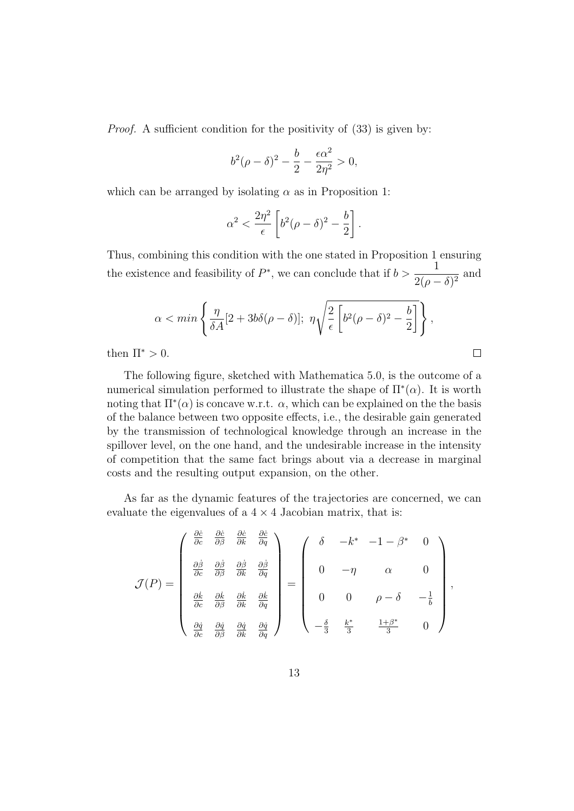*Proof.* A sufficient condition for the positivity of  $(33)$  is given by:

$$
b^2(\rho - \delta)^2 - \frac{b}{2} - \frac{\epsilon \alpha^2}{2\eta^2} > 0,
$$

which can be arranged by isolating  $\alpha$  as in Proposition 1:

$$
\alpha^2 < \frac{2\eta^2}{\epsilon} \left[ b^2 (\rho - \delta)^2 - \frac{b}{2} \right].
$$

Thus, combining this condition with the one stated in Proposition 1 ensuring the existence and feasibility of  $P^*$ , we can conclude that if  $b > \frac{1}{2\sqrt{p}}$  $\frac{1}{2(\rho-\delta)^2}$  and

$$
\alpha < \min\left\{\frac{\eta}{\delta A}[2 + 3b\delta(\rho - \delta)]; \ \eta \sqrt{\frac{2}{\epsilon} \left[b^2(\rho - \delta)^2 - \frac{b}{2}\right]}\right\},\
$$

 $\Box$ 

then  $\Pi^* > 0$ .

The following figure, sketched with Mathematica 5.0, is the outcome of a numerical simulation performed to illustrate the shape of Π*<sup>∗</sup>* (*α*). It is worth noting that  $\Pi^*(\alpha)$  is concave w.r.t.  $\alpha$ , which can be explained on the the basis of the balance between two opposite effects, i.e., the desirable gain generated by the transmission of technological knowledge through an increase in the spillover level, on the one hand, and the undesirable increase in the intensity of competition that the same fact brings about via a decrease in marginal costs and the resulting output expansion, on the other.

As far as the dynamic features of the trajectories are concerned, we can evaluate the eigenvalues of a  $4 \times 4$  Jacobian matrix, that is:

$$
\mathcal{J}(P) = \begin{pmatrix} \frac{\partial \dot{c}}{\partial c} & \frac{\partial \dot{c}}{\partial \beta} & \frac{\partial \dot{c}}{\partial k} & \frac{\partial \dot{c}}{\partial q} \\ \frac{\partial \dot{\beta}}{\partial c} & \frac{\partial \dot{\beta}}{\partial \beta} & \frac{\partial \dot{\beta}}{\partial k} & \frac{\partial \dot{\beta}}{\partial q} \\ \frac{\partial \dot{k}}{\partial c} & \frac{\partial \dot{k}}{\partial \beta} & \frac{\partial \dot{k}}{\partial k} & \frac{\partial \dot{k}}{\partial q} \\ \frac{\partial \dot{q}}{\partial c} & \frac{\partial \dot{q}}{\partial \beta} & \frac{\partial \dot{q}}{\partial k} & \frac{\partial \dot{q}}{\partial q} \end{pmatrix} = \begin{pmatrix} \delta & -k^* & -1 - \beta^* & 0 \\ 0 & -\eta & \alpha & 0 \\ 0 & 0 & \rho - \delta & -\frac{1}{b} \\ 0 & 0 & \rho - \delta & -\frac{1}{b} \\ -\frac{\delta}{3} & \frac{k^*}{3} & \frac{1+\beta^*}{3} & 0 \end{pmatrix},
$$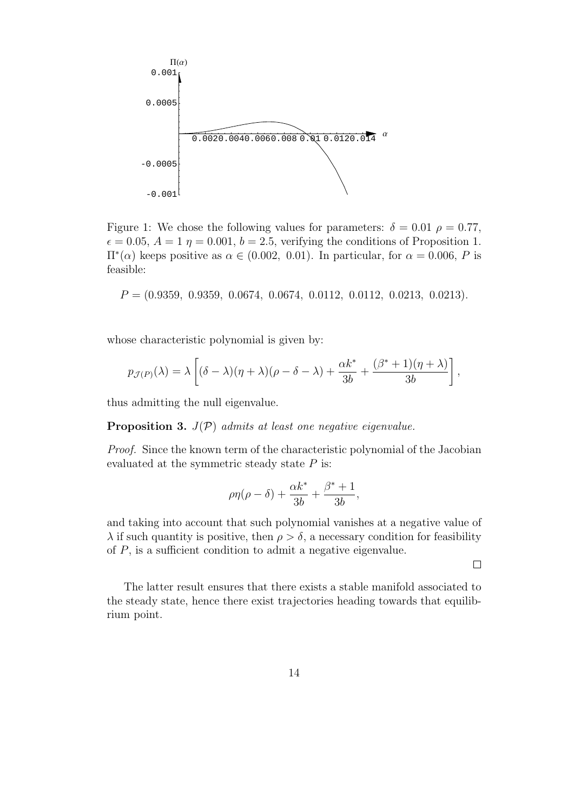

Figure 1: We chose the following values for parameters:  $\delta = 0.01 \rho = 0.77$ ,  $\epsilon = 0.05$ ,  $A = 1$   $\eta = 0.001$ ,  $b = 2.5$ , verifying the conditions of Proposition 1. Π*<sup>∗</sup>* (*α*) keeps positive as *α ∈* (0*.*002*,* 0*.*01). In particular, for *α* = 0*.*006, *P* is feasible:

*P* = (0*.*9359*,* 0*.*9359*,* 0*.*0674*,* 0*.*0674*,* 0*.*0112*,* 0*.*0112*,* 0*.*0213*,* 0*.*0213)*.*

whose characteristic polynomial is given by:

$$
p_{\mathcal{J}(P)}(\lambda) = \lambda \left[ (\delta - \lambda)(\eta + \lambda)(\rho - \delta - \lambda) + \frac{\alpha k^*}{3b} + \frac{(\beta^* + 1)(\eta + \lambda)}{3b} \right],
$$

thus admitting the null eigenvalue.

**Proposition 3.** *J*(*P*) *admits at least one negative eigenvalue.*

*Proof.* Since the known term of the characteristic polynomial of the Jacobian evaluated at the symmetric steady state *P* is:

$$
\rho\eta(\rho-\delta) + \frac{\alpha k^*}{3b} + \frac{\beta^*+1}{3b},
$$

and taking into account that such polynomial vanishes at a negative value of *λ* if such quantity is positive, then  $ρ > δ$ , a necessary condition for feasibility of *P*, is a sufficient condition to admit a negative eigenvalue.

 $\Box$ 

The latter result ensures that there exists a stable manifold associated to the steady state, hence there exist trajectories heading towards that equilibrium point.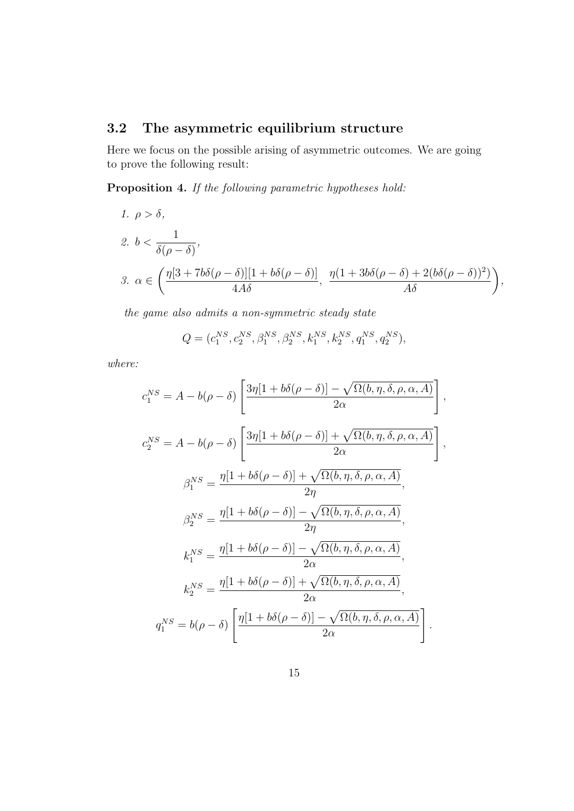## **3.2 The asymmetric equilibrium structure**

Here we focus on the possible arising of asymmetric outcomes. We are going to prove the following result:

**Proposition 4.** *If the following parametric hypotheses hold:*

1. 
$$
\rho > \delta
$$
,  
\n2.  $b < \frac{1}{\delta(\rho - \delta)}$ ,  
\n3.  $\alpha \in \left(\frac{\eta[3 + 7b\delta(\rho - \delta)][1 + b\delta(\rho - \delta)]}{4A\delta}, \frac{\eta(1 + 3b\delta(\rho - \delta) + 2(b\delta(\rho - \delta))^2)}{A\delta}\right)$ ,

*the game also admits a non-symmetric steady state*

$$
Q = (c_1^{NS}, c_2^{NS}, \beta_1^{NS}, \beta_2^{NS}, k_1^{NS}, k_2^{NS}, q_1^{NS}, q_2^{NS}),
$$

*where:*

$$
c_1^{NS} = A - b(\rho - \delta) \left[ \frac{3\eta[1 + b\delta(\rho - \delta)] - \sqrt{\Omega(b, \eta, \delta, \rho, \alpha, A)}}{2\alpha} \right],
$$
  
\n
$$
c_2^{NS} = A - b(\rho - \delta) \left[ \frac{3\eta[1 + b\delta(\rho - \delta)] + \sqrt{\Omega(b, \eta, \delta, \rho, \alpha, A)}}{2\alpha} \right],
$$
  
\n
$$
\beta_1^{NS} = \frac{\eta[1 + b\delta(\rho - \delta)] + \sqrt{\Omega(b, \eta, \delta, \rho, \alpha, A)}}{2\eta},
$$
  
\n
$$
\beta_2^{NS} = \frac{\eta[1 + b\delta(\rho - \delta)] - \sqrt{\Omega(b, \eta, \delta, \rho, \alpha, A)}}{2\eta},
$$
  
\n
$$
k_1^{NS} = \frac{\eta[1 + b\delta(\rho - \delta)] - \sqrt{\Omega(b, \eta, \delta, \rho, \alpha, A)}}{2\alpha},
$$
  
\n
$$
k_2^{NS} = \frac{\eta[1 + b\delta(\rho - \delta)] + \sqrt{\Omega(b, \eta, \delta, \rho, \alpha, A)}}{2\alpha},
$$
  
\n
$$
q_1^{NS} = b(\rho - \delta) \left[ \frac{\eta[1 + b\delta(\rho - \delta)] - \sqrt{\Omega(b, \eta, \delta, \rho, \alpha, A)}}{2\alpha} \right].
$$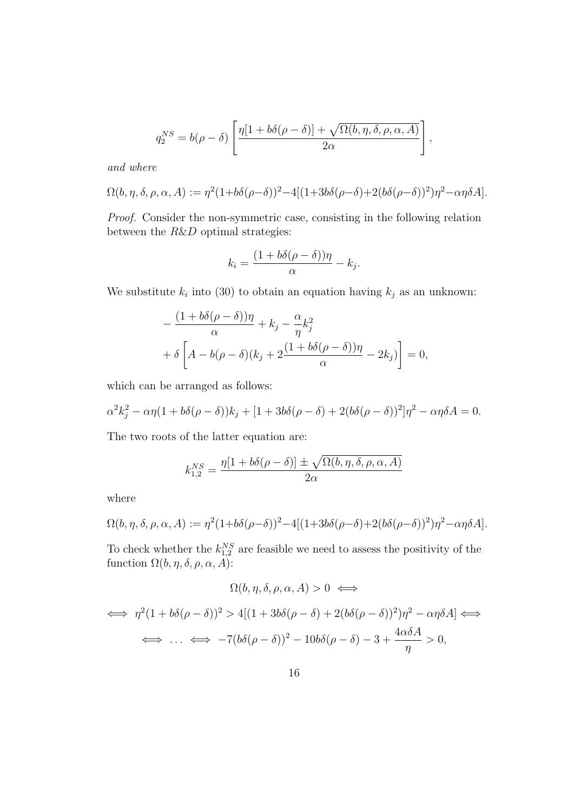$$
q_2^{NS} = b(\rho - \delta) \left[ \frac{\eta[1 + b\delta(\rho - \delta)] + \sqrt{\Omega(b, \eta, \delta, \rho, \alpha, A)}}{2\alpha} \right],
$$

*and where*

$$
\Omega(b,\eta,\delta,\rho,\alpha,A) := \eta^2 (1+b\delta(\rho-\delta))^2 - 4[(1+3b\delta(\rho-\delta)+2(b\delta(\rho-\delta))^2)\eta^2 - \alpha\eta\delta A].
$$

*Proof.* Consider the non-symmetric case, consisting in the following relation between the *R*&*D* optimal strategies:

$$
k_i = \frac{(1 + b\delta(\rho - \delta))\eta}{\alpha} - k_j.
$$

We substitute  $k_i$  into (30) to obtain an equation having  $k_j$  as an unknown:

$$
-\frac{(1+b\delta(\rho-\delta))\eta}{\alpha} + k_j - \frac{\alpha}{\eta}k_j^2
$$
  
+  $\delta \left[A - b(\rho-\delta)(k_j + 2\frac{(1+b\delta(\rho-\delta))\eta}{\alpha} - 2k_j)\right] = 0,$ 

which can be arranged as follows:

$$
\alpha^2 k_j^2 - \alpha \eta (1 + b\delta(\rho - \delta))k_j + [1 + 3b\delta(\rho - \delta) + 2(b\delta(\rho - \delta))^2]\eta^2 - \alpha \eta \delta A = 0.
$$

The two roots of the latter equation are:

$$
k_{1,2}^{NS} = \frac{\eta[1 + b\delta(\rho - \delta)] \pm \sqrt{\Omega(b, \eta, \delta, \rho, \alpha, A)}}{2\alpha}
$$

where

$$
\Omega(b,\eta,\delta,\rho,\alpha,A) := \eta^2 (1+b\delta(\rho-\delta))^2 - 4[(1+3b\delta(\rho-\delta)+2(b\delta(\rho-\delta))^2)\eta^2 - \alpha\eta\delta A].
$$

To check whether the  $k_{1,2}^{NS}$  are feasible we need to assess the positivity of the function  $\Omega(b, \eta, \delta, \rho, \alpha, A)$ :

$$
\Omega(b, \eta, \delta, \rho, \alpha, A) > 0 \iff
$$
  

$$
\iff \eta^2 (1 + b\delta(\rho - \delta))^2 > 4[(1 + 3b\delta(\rho - \delta) + 2(b\delta(\rho - \delta))^2)\eta^2 - \alpha\eta\delta A] \iff
$$
  

$$
\iff \dots \iff -7(b\delta(\rho - \delta))^2 - 10b\delta(\rho - \delta) - 3 + \frac{4\alpha\delta A}{\eta} > 0,
$$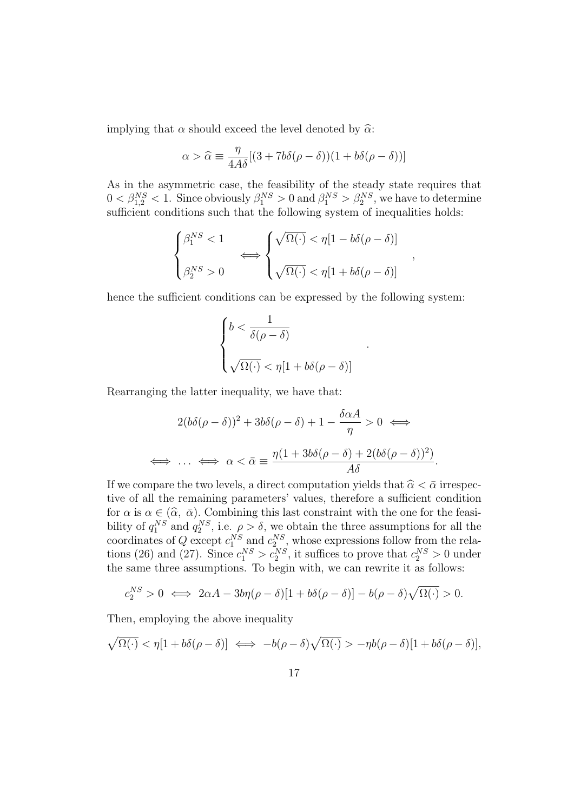implying that  $\alpha$  should exceed the level denoted by  $\widehat{\alpha}$ :

$$
\alpha > \widehat{\alpha} \equiv \frac{\eta}{4A\delta}[(3+7b\delta(\rho-\delta))(1+b\delta(\rho-\delta))]
$$

As in the asymmetric case, the feasibility of the steady state requires that  $0 < \beta_{1,2}^{NS} < 1$ . Since obviously  $\beta_1^{NS} > 0$  and  $\beta_1^{NS} > \beta_2^{NS}$ , we have to determine sufficient conditions such that the following system of inequalities holds:

$$
\begin{cases} \beta_1^{NS} < 1 \\ \beta_2^{NS} > 0 \end{cases} \Longleftrightarrow \begin{cases} \sqrt{\Omega(\cdot)} < \eta[1 - b\delta(\rho - \delta)] \\ \sqrt{\Omega(\cdot)} < \eta[1 + b\delta(\rho - \delta)] \end{cases}
$$

*,*

*.*

hence the sufficient conditions can be expressed by the following system:

$$
\begin{cases} b < \frac{1}{\delta(\rho - \delta)} \\ \sqrt{\Omega(\cdot)} < \eta[1 + b\delta(\rho - \delta)] \end{cases}
$$

Rearranging the latter inequality, we have that:

$$
2(b\delta(\rho - \delta))^2 + 3b\delta(\rho - \delta) + 1 - \frac{\delta \alpha A}{\eta} > 0 \iff
$$
  

$$
\iff \dots \iff \alpha < \bar{\alpha} \equiv \frac{\eta(1 + 3b\delta(\rho - \delta) + 2(b\delta(\rho - \delta))^2)}{A\delta}.
$$

If we compare the two levels, a direct computation yields that  $\hat{\alpha} < \bar{\alpha}$  irrespective of all the remaining parameters' values, therefore a sufficient condition for  $\alpha$  is  $\alpha \in (\hat{\alpha}, \bar{\alpha})$ . Combining this last constraint with the one for the feasi-<br>bility of  $q_1^{NS}$  and  $q_2^{NS}$ , i.e.  $\rho > \delta$ , we obtain the three assumptions for all the coordinates of *Q* except  $c_1^{NS}$  and  $c_2^{NS}$ , whose expressions follow from the relations (26) and (27). Since  $c_1^{NS} > c_2^{NS}$ , it suffices to prove that  $c_2^{NS} > 0$  under the same three assumptions. To begin with, we can rewrite it as follows:

$$
c_2^{NS} > 0 \iff 2\alpha A - 3b\eta(\rho - \delta)[1 + b\delta(\rho - \delta)] - b(\rho - \delta)\sqrt{\Omega(\cdot)} > 0.
$$

Then, employing the above inequality

$$
\sqrt{\Omega(\cdot)} < \eta[1 + b\delta(\rho - \delta)] \iff -b(\rho - \delta)\sqrt{\Omega(\cdot)} > -\eta b(\rho - \delta)[1 + b\delta(\rho - \delta)],
$$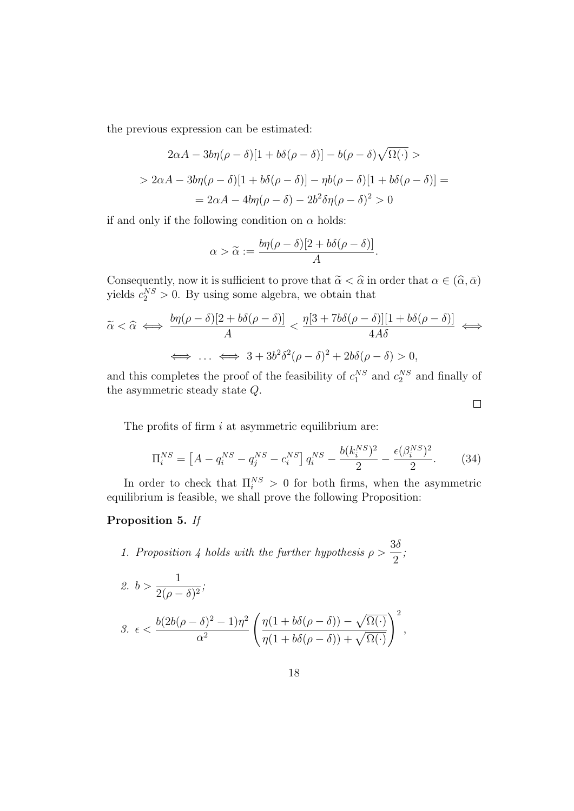the previous expression can be estimated:

$$
2\alpha A - 3b\eta(\rho - \delta)[1 + b\delta(\rho - \delta)] - b(\rho - \delta)\sqrt{\Omega(\cdot)} >
$$
  
> 2\alpha A - 3b\eta(\rho - \delta)[1 + b\delta(\rho - \delta)] - \eta b(\rho - \delta)[1 + b\delta(\rho - \delta)] =  
= 2\alpha A - 4b\eta(\rho - \delta) - 2b^2\delta\eta(\rho - \delta)^2 > 0

if and only if the following condition on  $\alpha$  holds:

$$
\alpha > \widetilde{\alpha} := \frac{b\eta(\rho - \delta)[2 + b\delta(\rho - \delta)]}{A}.
$$

Consequently, now it is sufficient to prove that  $\tilde{\alpha} < \hat{\alpha}$  in order that  $\alpha \in (\hat{\alpha}, \bar{\alpha})$ yields  $c_2^{NS} > 0$ . By using some algebra, we obtain that

$$
\widetilde{\alpha} < \widehat{\alpha} \iff \frac{b\eta(\rho - \delta)[2 + b\delta(\rho - \delta)]}{A} < \frac{\eta[3 + 7b\delta(\rho - \delta)][1 + b\delta(\rho - \delta)]}{4A\delta} \iff \iff \dots \iff 3 + 3b^2\delta^2(\rho - \delta)^2 + 2b\delta(\rho - \delta) > 0,
$$

and this completes the proof of the feasibility of  $c_1^{NS}$  and  $c_2^{NS}$  and finally of the asymmetric steady state *Q*.

 $\Box$ 

The profits of firm *i* at asymmetric equilibrium are:

$$
\Pi_i^{NS} = \left[A - q_i^{NS} - q_j^{NS} - c_i^{NS}\right] q_i^{NS} - \frac{b(k_i^{NS})^2}{2} - \frac{\epsilon(\beta_i^{NS})^2}{2}.
$$
 (34)

In order to check that  $\Pi_i^{NS} > 0$  for both firms, when the asymmetric equilibrium is feasible, we shall prove the following Proposition:

### **Proposition 5.** *If*

*1. Proposition 4 holds with the further hypothesis ρ >* 3*δ* 2 *;*

2. 
$$
b > \frac{1}{2(\rho - \delta)^2}
$$
;  
\n3.  $\epsilon < \frac{b(2b(\rho - \delta)^2 - 1)\eta^2}{\alpha^2} \left( \frac{\eta(1 + b\delta(\rho - \delta)) - \sqrt{\Omega(\cdot)}}{\eta(1 + b\delta(\rho - \delta)) + \sqrt{\Omega(\cdot)}} \right)^2$ ,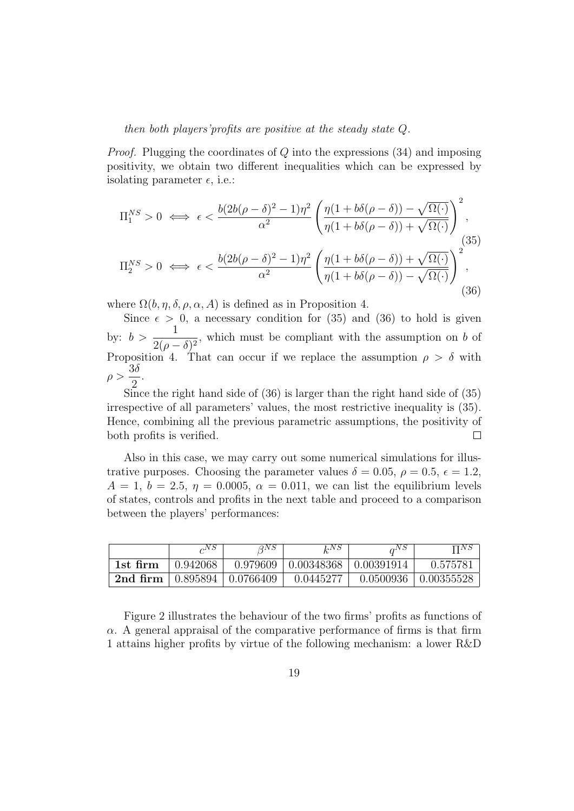#### *then both players'profits are positive at the steady state Q.*

*Proof.* Plugging the coordinates of *Q* into the expressions (34) and imposing positivity, we obtain two different inequalities which can be expressed by isolating parameter  $\epsilon$ , i.e.:

$$
\Pi_1^{NS} > 0 \iff \epsilon < \frac{b(2b(\rho - \delta)^2 - 1)\eta^2}{\alpha^2} \left( \frac{\eta(1 + b\delta(\rho - \delta)) - \sqrt{\Omega(\cdot)}}{\eta(1 + b\delta(\rho - \delta)) + \sqrt{\Omega(\cdot)}} \right)^2,
$$
\n
$$
\Pi_2^{NS} > 0 \iff \epsilon < \frac{b(2b(\rho - \delta)^2 - 1)\eta^2}{\alpha^2} \left( \frac{\eta(1 + b\delta(\rho - \delta)) + \sqrt{\Omega(\cdot)}}{\eta(1 + b\delta(\rho - \delta)) - \sqrt{\Omega(\cdot)}} \right)^2,
$$
\n
$$
(36)
$$

where  $\Omega(b, \eta, \delta, \rho, \alpha, A)$  is defined as in Proposition 4.

Since  $\epsilon > 0$ , a necessary condition for (35) and (36) to hold is given by:  $b > \frac{1}{2(1 - b)^2}$  $\frac{1}{2(\rho - \delta)^2}$ , which must be compliant with the assumption on *b* of Proposition 4. That can occur if we replace the assumption  $\rho > \delta$  with *ρ >* 3*δ* 2 .

Since the right hand side of (36) is larger than the right hand side of (35) irrespective of all parameters' values, the most restrictive inequality is (35). Hence, combining all the previous parametric assumptions, the positivity of both profits is verified.  $\Box$ 

Also in this case, we may carry out some numerical simulations for illustrative purposes. Choosing the parameter values  $\delta = 0.05$ ,  $\rho = 0.5$ ,  $\epsilon = 1.2$ ,  $A = 1, b = 2.5, \eta = 0.0005, \alpha = 0.011$ , we can list the equilibrium levels of states, controls and profits in the next table and proceed to a comparison between the players' performances:

|          | $\alpha$ <sup>N</sup> $\beta$ | $\sqrt{2}$ NS            | ե™Տ                                      | $\alpha$ NS | $\Pi NS$          |
|----------|-------------------------------|--------------------------|------------------------------------------|-------------|-------------------|
| 1st firm | 0.942068                      |                          | $0.979609$   $0.00348368$   $0.00391914$ |             | 0.575781          |
| 2nd firm |                               | $0.895894 \pm 0.0766409$ | 0.0445277                                | 0.0500936   | $\mid 0.00355528$ |

Figure 2 illustrates the behaviour of the two firms' profits as functions of *α*. A general appraisal of the comparative performance of firms is that firm 1 attains higher profits by virtue of the following mechanism: a lower R&D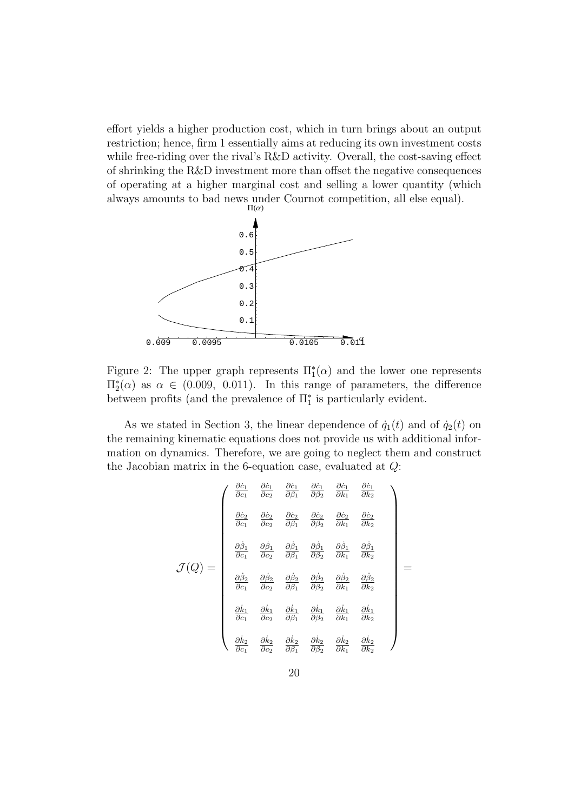effort yields a higher production cost, which in turn brings about an output restriction; hence, firm 1 essentially aims at reducing its own investment costs while free-riding over the rival's R&D activity. Overall, the cost-saving effect of shrinking the R&D investment more than offset the negative consequences of operating at a higher marginal cost and selling a lower quantity (which always amounts to bad news under Cournot competition, all else equal).  $\Pi(\alpha)$ 



Figure 2: The upper graph represents  $\Pi_1^*(\alpha)$  and the lower one represents  $\Pi_{2}^{*}(α)$  as  $α ∈ (0.009, 0.011)$ . In this range of parameters, the difference between profits (and the prevalence of  $\Pi_1^*$  is particularly evident.

As we stated in Section 3, the linear dependence of  $\dot{q}_1(t)$  and of  $\dot{q}_2(t)$  on the remaining kinematic equations does not provide us with additional information on dynamics. Therefore, we are going to neglect them and construct the Jacobian matrix in the 6-equation case, evaluated at *Q*:

$$
\mathcal{J}(Q) = \begin{pmatrix}\n\frac{\partial \dot{c}_1}{\partial c_1} & \frac{\partial \dot{c}_1}{\partial c_2} & \frac{\partial \dot{c}_1}{\partial \beta_1} & \frac{\partial \dot{c}_1}{\partial \beta_2} & \frac{\partial \dot{c}_1}{\partial k_1} & \frac{\partial \dot{c}_1}{\partial k_2} \\
\frac{\partial \dot{c}_2}{\partial c_1} & \frac{\partial \dot{c}_2}{\partial c_2} & \frac{\partial \dot{c}_2}{\partial \beta_1} & \frac{\partial \dot{c}_2}{\partial \beta_2} & \frac{\partial \dot{c}_2}{\partial k_1} & \frac{\partial \dot{c}_2}{\partial k_2} \\
\frac{\partial \dot{\beta}_1}{\partial c_1} & \frac{\partial \dot{\beta}_1}{\partial c_2} & \frac{\partial \dot{\beta}_1}{\partial \beta_1} & \frac{\partial \dot{\beta}_1}{\partial \beta_2} & \frac{\partial \dot{\beta}_1}{\partial k_1} & \frac{\partial \dot{\beta}_1}{\partial k_2} \\
\frac{\partial \dot{\beta}_2}{\partial c_1} & \frac{\partial \dot{\beta}_2}{\partial c_2} & \frac{\partial \dot{\beta}_2}{\partial \beta_1} & \frac{\partial \dot{\beta}_2}{\partial \beta_2} & \frac{\partial \dot{\beta}_2}{\partial k_1} & \frac{\partial \dot{\beta}_2}{\partial k_2} \\
\frac{\partial \dot{k}_1}{\partial c_1} & \frac{\partial \dot{k}_1}{\partial c_2} & \frac{\partial \dot{k}_1}{\partial \beta_1} & \frac{\partial \dot{k}_1}{\partial \beta_2} & \frac{\partial \dot{k}_1}{\partial k_1} & \frac{\partial \dot{k}_1}{\partial k_2} \\
\frac{\partial \dot{k}_2}{\partial c_1} & \frac{\partial \dot{k}_2}{\partial c_2} & \frac{\partial \dot{k}_2}{\partial \beta_1} & \frac{\partial \dot{k}_2}{\partial \beta_2} & \frac{\partial \dot{k}_2}{\partial k_1} & \frac{\partial \dot{k}_2}{\partial k_2}\n\end{pmatrix}
$$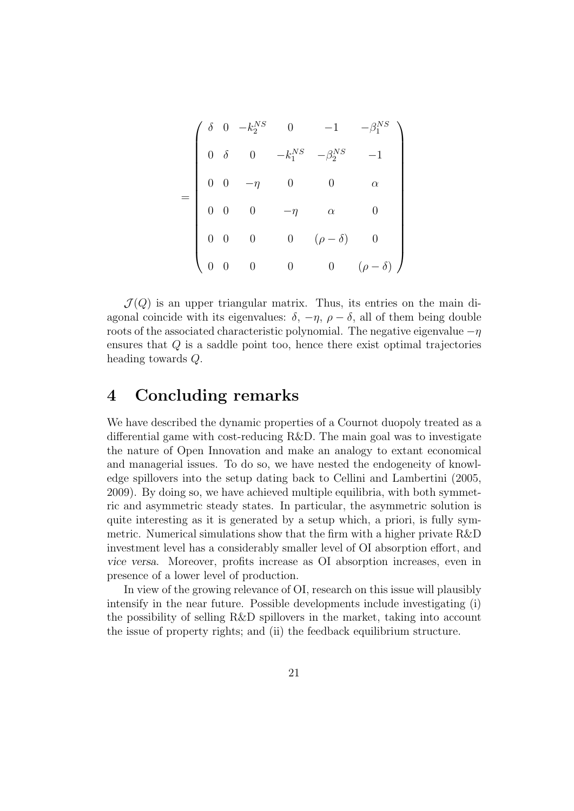$$
= \begin{pmatrix} \delta & 0 & -k_2^{NS} & 0 & -1 & -\beta_1^{NS} \\ 0 & \delta & 0 & -k_1^{NS} & -\beta_2^{NS} & -1 \\ 0 & 0 & -\eta & 0 & 0 & \alpha \\ 0 & 0 & 0 & -\eta & \alpha & 0 \\ 0 & 0 & 0 & 0 & (\rho - \delta) & 0 \\ 0 & 0 & 0 & 0 & 0 & (\rho - \delta) \end{pmatrix}
$$

 $\mathcal{J}(Q)$  is an upper triangular matrix. Thus, its entries on the main diagonal coincide with its eigenvalues:  $\delta$ ,  $-\eta$ ,  $\rho - \delta$ , all of them being double roots of the associated characteristic polynomial. The negative eigenvalue *−η* ensures that *Q* is a saddle point too, hence there exist optimal trajectories heading towards *Q*.

## **4 Concluding remarks**

We have described the dynamic properties of a Cournot duopoly treated as a differential game with cost-reducing R&D. The main goal was to investigate the nature of Open Innovation and make an analogy to extant economical and managerial issues. To do so, we have nested the endogeneity of knowledge spillovers into the setup dating back to Cellini and Lambertini (2005, 2009). By doing so, we have achieved multiple equilibria, with both symmetric and asymmetric steady states. In particular, the asymmetric solution is quite interesting as it is generated by a setup which, a priori, is fully symmetric. Numerical simulations show that the firm with a higher private R&D investment level has a considerably smaller level of OI absorption effort, and *vice versa*. Moreover, profits increase as OI absorption increases, even in presence of a lower level of production.

In view of the growing relevance of OI, research on this issue will plausibly intensify in the near future. Possible developments include investigating (i) the possibility of selling R&D spillovers in the market, taking into account the issue of property rights; and (ii) the feedback equilibrium structure.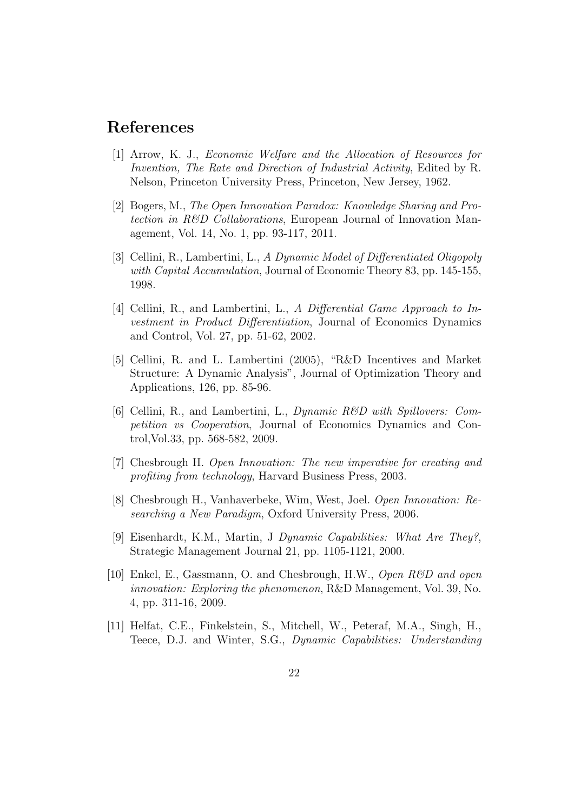## **References**

- [1] Arrow, K. J., *Economic Welfare and the Allocation of Resources for Invention, The Rate and Direction of Industrial Activity*, Edited by R. Nelson, Princeton University Press, Princeton, New Jersey, 1962.
- [2] Bogers, M., *The Open Innovation Paradox: Knowledge Sharing and Protection in R&D Collaborations*, European Journal of Innovation Management, Vol. 14, No. 1, pp. 93-117, 2011.
- [3] Cellini, R., Lambertini, L., *A Dynamic Model of Differentiated Oligopoly with Capital Accumulation*, Journal of Economic Theory 83, pp. 145-155, 1998.
- [4] Cellini, R., and Lambertini, L., *A Differential Game Approach to Investment in Product Differentiation*, Journal of Economics Dynamics and Control, Vol. 27, pp. 51-62, 2002.
- [5] Cellini, R. and L. Lambertini (2005), "R&D Incentives and Market Structure: A Dynamic Analysis", Journal of Optimization Theory and Applications, 126, pp. 85-96.
- [6] Cellini, R., and Lambertini, L., *Dynamic R&D with Spillovers: Competition vs Cooperation*, Journal of Economics Dynamics and Control,Vol.33, pp. 568-582, 2009.
- [7] Chesbrough H. *Open Innovation: The new imperative for creating and profiting from technology*, Harvard Business Press, 2003.
- [8] Chesbrough H., Vanhaverbeke, Wim, West, Joel. *Open Innovation: Researching a New Paradigm*, Oxford University Press, 2006.
- [9] Eisenhardt, K.M., Martin, J *Dynamic Capabilities: What Are They?*, Strategic Management Journal 21, pp. 1105-1121, 2000.
- [10] Enkel, E., Gassmann, O. and Chesbrough, H.W., *Open R&D and open innovation: Exploring the phenomenon*, R&D Management, Vol. 39, No. 4, pp. 311-16, 2009.
- [11] Helfat, C.E., Finkelstein, S., Mitchell, W., Peteraf, M.A., Singh, H., Teece, D.J. and Winter, S.G., *Dynamic Capabilities: Understanding*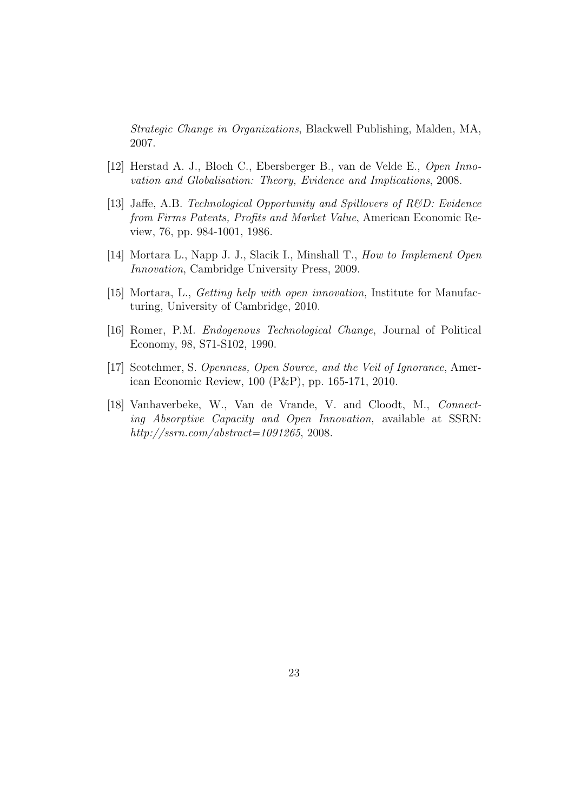*Strategic Change in Organizations*, Blackwell Publishing, Malden, MA, 2007.

- [12] Herstad A. J., Bloch C., Ebersberger B., van de Velde E., *Open Innovation and Globalisation: Theory, Evidence and Implications*, 2008.
- [13] Jaffe, A.B. *Technological Opportunity and Spillovers of R&D: Evidence from Firms Patents, Profits and Market Value*, American Economic Review, 76, pp. 984-1001, 1986.
- [14] Mortara L., Napp J. J., Slacik I., Minshall T., *How to Implement Open Innovation*, Cambridge University Press, 2009.
- [15] Mortara, L., *Getting help with open innovation*, Institute for Manufacturing, University of Cambridge, 2010.
- [16] Romer, P.M. *Endogenous Technological Change*, Journal of Political Economy, 98, S71-S102, 1990.
- [17] Scotchmer, S. *Openness, Open Source, and the Veil of Ignorance*, American Economic Review, 100 (P&P), pp. 165-171, 2010.
- [18] Vanhaverbeke, W., Van de Vrande, V. and Cloodt, M., *Connecting Absorptive Capacity and Open Innovation*, available at SSRN: *http://ssrn.com/abstract=1091265*, 2008.